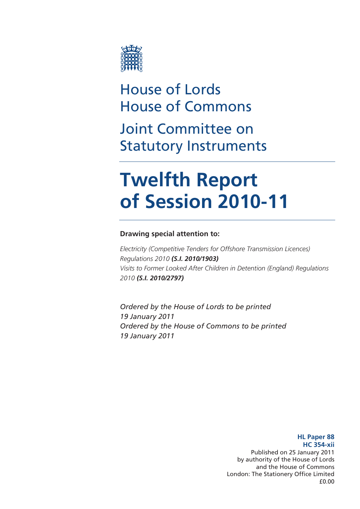

# House of Lords House of Commons Joint Committee on Statutory Instruments

# **Twelfth Report of Session 2010-11**

# **Drawing special attention to:**

*Electricity (Competitive Tenders for Offshore Transmission Licences) Regulations 2010 (S.I. 2010/1903) Visits to Former Looked After Children in Detention (England) Regulations 2010 (S.I. 2010/2797)*

*Ordered by the House of Lords to be printed 19 January 2011 Ordered by the House of Commons to be printed 19 January 2011* 

> **HL Paper 88 HC 354-xii**  Published on 25 January 2011 by authority of the House of Lords and the House of Commons London: The Stationery Office Limited £0.00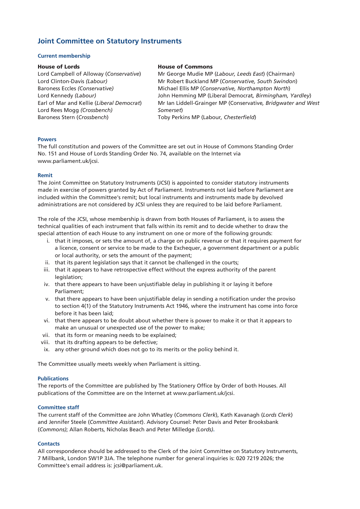## **Joint Committee on Statutory Instruments**

#### **Current membership**

#### House of Lords

Lord Campbell of Alloway (*Conservative*) Lord Clinton-Davis *(Labour)* Baroness Eccles *(Conservative)*  Lord Kennedy *(Labour)* Earl of Mar and Kellie (*Liberal Democrat*) Lord Rees Mogg *(Crossbench)*  Baroness Stern (*Crossbench*)

#### House of Commons

Mr George Mudie MP (*Labour, Leeds East*) (Chairman) Mr Robert Buckland MP (*Conservative, South Swindon*) Michael Ellis MP (*Conservative, Northampton North*) John Hemming MP (Liberal Democrat*, Birmingham, Yardley*) Mr Ian Liddell-Grainger MP (Conservative*, Bridgwater and West Somerset*) Toby Perkins MP (Labour*, Chesterfield*)

#### **Powers**

The full constitution and powers of the Committee are set out in House of Commons Standing Order No. 151 and House of Lords Standing Order No. 74, available on the Internet via [www.parliament.uk/jcsi](http://www.parliament.uk/jcsi).

#### **Remit**

The Joint Committee on Statutory Instruments (JCSI) is appointed to consider statutory instruments made in exercise of powers granted by Act of Parliament. Instruments not laid before Parliament are included within the Committee's remit; but local instruments and instruments made by devolved administrations are not considered by JCSI unless they are required to be laid before Parliament.

The role of the JCSI, whose membership is drawn from both Houses of Parliament, is to assess the technical qualities of each instrument that falls within its remit and to decide whether to draw the special attention of each House to any instrument on one or more of the following grounds:

- i. that it imposes, or sets the amount of, a charge on public revenue or that it requires payment for a licence, consent or service to be made to the Exchequer, a government department or a public or local authority, or sets the amount of the payment;
- ii. that its parent legislation says that it cannot be challenged in the courts;
- iii. that it appears to have retrospective effect without the express authority of the parent legislation;
- iv. that there appears to have been unjustifiable delay in publishing it or laying it before Parliament;
- v. that there appears to have been unjustifiable delay in sending a notification under the proviso to section 4(1) of the Statutory Instruments Act 1946, where the instrument has come into force before it has been laid;
- vi. that there appears to be doubt about whether there is power to make it or that it appears to make an unusual or unexpected use of the power to make;
- vii. that its form or meaning needs to be explained;
- viii. that its drafting appears to be defective;
- ix. any other ground which does not go to its merits or the policy behind it.

The Committee usually meets weekly when Parliament is sitting.

#### **Publications**

The reports of the Committee are published by The Stationery Office by Order of both Houses. All publications of the Committee are on the Internet at [www.parliament.uk/j](http://www.parliament.uk/parliamentary_committees/joint_committee_on_statutory_%20instruments.cfm)csi.

#### **Committee staff**

The current staff of the Committee are John Whatley (*Commons Clerk*), Kath Kavanagh (*Lords Clerk*) and Jennifer Steele (*Committee Assistant*). Advisory Counsel: Peter Davis and Peter Brooksbank (*Commons)*; Allan Roberts, Nicholas Beach and Peter Milledge *(Lords)***.** 

#### **Contacts**

All correspondence should be addressed to the Clerk of the Joint Committee on Statutory Instruments, 7 Millbank, London SW1P 3JA. The telephone number for general inquiries is: 020 7219 2026; the Committee's email address is: jcsi@parliament.uk.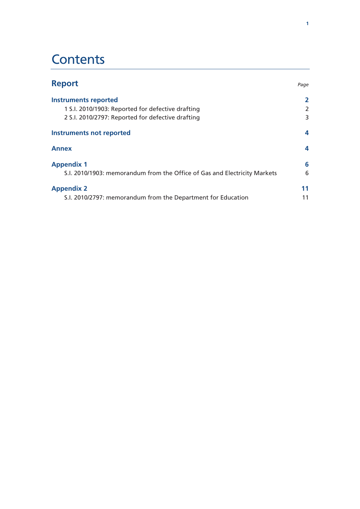# **Contents**

| <b>Report</b>                                                             | Page |
|---------------------------------------------------------------------------|------|
| <b>Instruments reported</b>                                               | 2    |
| 1 S.I. 2010/1903: Reported for defective drafting                         | 2    |
| 2 S.I. 2010/2797: Reported for defective drafting                         | 3    |
| Instruments not reported                                                  | 4    |
| <b>Annex</b>                                                              | 4    |
| <b>Appendix 1</b>                                                         | 6    |
| S.I. 2010/1903: memorandum from the Office of Gas and Electricity Markets | 6    |
| <b>Appendix 2</b>                                                         | 11   |
| S.I. 2010/2797: memorandum from the Department for Education              | 11   |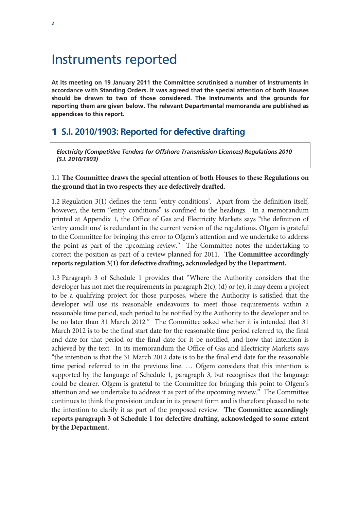# <span id="page-3-0"></span>Instruments reported

**At its meeting on 19 January 2011 the Committee scrutinised a number of Instruments in accordance with Standing Orders. It was agreed that the special attention of both Houses should be drawn to two of those considered. The Instruments and the grounds for reporting them are given below. The relevant Departmental memoranda are published as appendices to this report.** 

# 1 **S.I. 2010/1903: Reported for defective drafting**

*Electricity (Competitive Tenders for Offshore Transmission Licences) Regulations 2010 (S.I. 2010/1903)* 

### 1.1 **The Committee draws the special attention of both Houses to these Regulations on the ground that in two respects they are defectively drafted.**

1.2 Regulation 3(1) defines the term 'entry conditions'. Apart from the definition itself, however, the term "entry conditions" is confined to the headings. In a memorandum printed at Appendix 1, the Office of Gas and Electricity Markets says "the definition of 'entry conditions' is redundant in the current version of the regulations. Ofgem is grateful to the Committee for bringing this error to Ofgem's attention and we undertake to address the point as part of the upcoming review." The Committee notes the undertaking to correct the position as part of a review planned for 2011. **The Committee accordingly reports regulation 3(1) for defective drafting, acknowledged by the Department.**

1.3 Paragraph 3 of Schedule 1 provides that "Where the Authority considers that the developer has not met the requirements in paragraph 2(c), (d) or (e), it may deem a project to be a qualifying project for those purposes, where the Authority is satisfied that the developer will use its reasonable endeavours to meet those requirements within a reasonable time period, such period to be notified by the Authority to the developer and to be no later than 31 March 2012." The Committee asked whether it is intended that 31 March 2012 is to be the final start date for the reasonable time period referred to, the final end date for that period or the final date for it be notified, and how that intention is achieved by the text. In its memorandum the Office of Gas and Electricity Markets says "the intention is that the 31 March 2012 date is to be the final end date for the reasonable time period referred to in the previous line. … Ofgem considers that this intention is supported by the language of Schedule 1, paragraph 3, but recognises that the language could be clearer. Ofgem is grateful to the Committee for bringing this point to Ofgem's attention and we undertake to address it as part of the upcoming review." The Committee continues to think the provision unclear in its present form and is therefore pleased to note the intention to clarify it as part of the proposed review. **The Committee accordingly reports paragraph 3 of Schedule 1 for defective drafting, acknowledged to some extent by the Department.**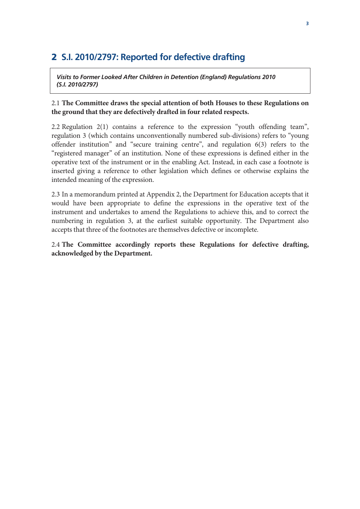# <span id="page-4-0"></span>2 **S.I. 2010/2797: Reported for defective drafting**

*Visits to Former Looked After Children in Detention (England) Regulations 2010 (S.I. 2010/2797)* 

### 2.1 **The Committee draws the special attention of both Houses to these Regulations on the ground that they are defectively drafted in four related respects.**

2.2 Regulation 2(1) contains a reference to the expression "youth offending team", regulation 3 (which contains unconventionally numbered sub-divisions) refers to "young offender institution" and "secure training centre", and regulation 6(3) refers to the "registered manager" of an institution. None of these expressions is defined either in the operative text of the instrument or in the enabling Act. Instead, in each case a footnote is inserted giving a reference to other legislation which defines or otherwise explains the intended meaning of the expression.

2.3 In a memorandum printed at Appendix 2, the Department for Education accepts that it would have been appropriate to define the expressions in the operative text of the instrument and undertakes to amend the Regulations to achieve this, and to correct the numbering in regulation 3, at the earliest suitable opportunity. The Department also accepts that three of the footnotes are themselves defective or incomplete.

### 2.4 **The Committee accordingly reports these Regulations for defective drafting, acknowledged by the Department.**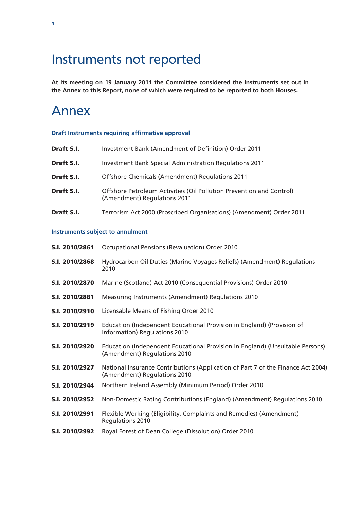# <span id="page-5-0"></span>Instruments not reported

**At its meeting on 19 January 2011 the Committee considered the Instruments set out in the Annex to this Report, none of which were required to be reported to both Houses.** 

# Annex

#### **Draft Instruments requiring affirmative approval**

| Draft S.I. | Investment Bank (Amendment of Definition) Order 2011                                                 |
|------------|------------------------------------------------------------------------------------------------------|
| Draft S.I. | <b>Investment Bank Special Administration Regulations 2011</b>                                       |
| Draft S.I. | Offshore Chemicals (Amendment) Regulations 2011                                                      |
| Draft S.I. | Offshore Petroleum Activities (Oil Pollution Prevention and Control)<br>(Amendment) Regulations 2011 |
| Draft S.I. | Terrorism Act 2000 (Proscribed Organisations) (Amendment) Order 2011                                 |

#### **Instruments subject to annulment**

| S.I. 2010/2861 | Occupational Pensions (Revaluation) Order 2010                                                                   |
|----------------|------------------------------------------------------------------------------------------------------------------|
| S.I. 2010/2868 | Hydrocarbon Oil Duties (Marine Voyages Reliefs) (Amendment) Regulations<br>2010                                  |
| S.I. 2010/2870 | Marine (Scotland) Act 2010 (Consequential Provisions) Order 2010                                                 |
| S.I. 2010/2881 | Measuring Instruments (Amendment) Regulations 2010                                                               |
| S.I. 2010/2910 | Licensable Means of Fishing Order 2010                                                                           |
| S.I. 2010/2919 | Education (Independent Educational Provision in England) (Provision of<br>Information) Regulations 2010          |
| S.I. 2010/2920 | Education (Independent Educational Provision in England) (Unsuitable Persons)<br>(Amendment) Regulations 2010    |
| S.I. 2010/2927 | National Insurance Contributions (Application of Part 7 of the Finance Act 2004)<br>(Amendment) Regulations 2010 |
| S.I. 2010/2944 | Northern Ireland Assembly (Minimum Period) Order 2010                                                            |
| S.I. 2010/2952 | Non-Domestic Rating Contributions (England) (Amendment) Regulations 2010                                         |
| S.I. 2010/2991 | Flexible Working (Eligibility, Complaints and Remedies) (Amendment)<br><b>Regulations 2010</b>                   |
| S.I. 2010/2992 | Royal Forest of Dean College (Dissolution) Order 2010                                                            |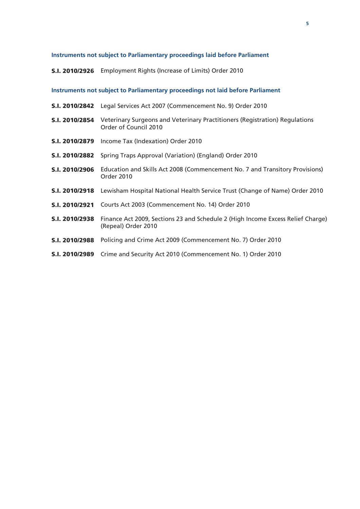#### **Instruments not subject to Parliamentary proceedings laid before Parliament**

S.I. 2010/2926 Employment Rights (Increase of Limits) Order 2010

### **Instruments not subject to Parliamentary proceedings not laid before Parliament**

|                | <b>S.I. 2010/2842</b> Legal Services Act 2007 (Commencement No. 9) Order 2010                          |
|----------------|--------------------------------------------------------------------------------------------------------|
| S.I. 2010/2854 | Veterinary Surgeons and Veterinary Practitioners (Registration) Regulations<br>Order of Council 2010   |
|                | <b>S.I. 2010/2879</b> Income Tax (Indexation) Order 2010                                               |
|                | <b>S.I. 2010/2882</b> Spring Traps Approval (Variation) (England) Order 2010                           |
| S.I. 2010/2906 | Education and Skills Act 2008 (Commencement No. 7 and Transitory Provisions)<br>Order 2010             |
|                | <b>S.I. 2010/2918</b> Lewisham Hospital National Health Service Trust (Change of Name) Order 2010      |
| S.I. 2010/2921 | Courts Act 2003 (Commencement No. 14) Order 2010                                                       |
| S.I. 2010/2938 | Finance Act 2009, Sections 23 and Schedule 2 (High Income Excess Relief Charge)<br>(Repeal) Order 2010 |
|                | S.I. 2010/2988 Policing and Crime Act 2009 (Commencement No. 7) Order 2010                             |
| S.I. 2010/2989 | Crime and Security Act 2010 (Commencement No. 1) Order 2010                                            |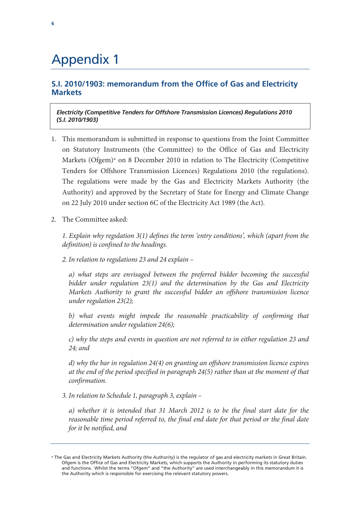# <span id="page-7-0"></span>Appendix 1

## **S.I. 2010/1903: memorandum from the Office of Gas and Electricity Markets**

*Electricity (Competitive Tenders for Offshore Transmission Licences) Regulations 2010 (S.I. 2010/1903)* 

- 1. This memorandum is submitted in response to questions from the Joint Committee on Statutory Instruments (the Committee) to the Office of Gas and Electricity M[a](#page-7-1)rkets (Ofgem)<sup>a</sup> on 8 December 2010 in relation to The Electricity (Competitive Tenders for Offshore Transmission Licences) Regulations 2010 (the regulations). The regulations were made by the Gas and Electricity Markets Authority (the Authority) and approved by the Secretary of State for Energy and Climate Change on 22 July 2010 under section 6C of the Electricity Act 1989 (the Act).
- 2. The Committee asked:

*1. Explain why regulation 3(1) defines the term 'entry conditions', which (apart from the definition) is confined to the headings.* 

*2. In relation to regulations 23 and 24 explain –* 

*a) what steps are envisaged between the preferred bidder becoming the successful bidder under regulation 23(1) and the determination by the Gas and Electricity Markets Authority to grant the successful bidder an offshore transmission licence under regulation 23(2);* 

b) what events might impede the reasonable practicability of confirming that *determination under regulation 24(6);* 

*c) why the steps and events in question are not referred to in either regulation 23 and 24; and* 

*d) why the bar in regulation 24(4) on granting an offshore transmission licence expires at the end of the period specified in paragraph 24(5) rather than at the moment of that confirmation.* 

*3. In relation to Schedule 1, paragraph 3, explain –* 

*a) whether it is intended that 31 March 2012 is to be the final start date for the reasonable time period referred to, the final end date for that period or the final date for it be notified, and* 

<span id="page-7-1"></span><sup>&</sup>lt;sup>a</sup> The Gas and Electricity Markets Authority (the Authority) is the regulator of gas and electricity markets in Great Britain. Ofgem is the Office of Gas and Electricity Markets, which supports the Authority in performing its statutory duties and functions. Whilst the terms "Ofgem" and "the Authority" are used interchangeably in this memorandum it is the Authority which is responsible for exercising the relevant statutory powers.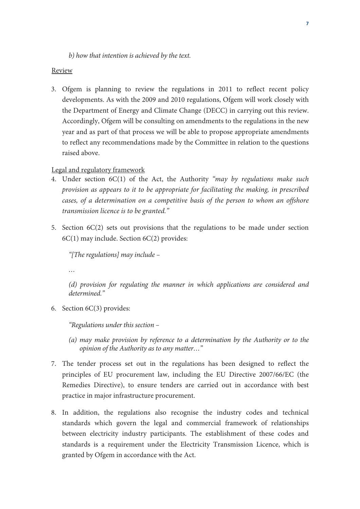*b) how that intention is achieved by the text.* 

#### Review

3. Ofgem is planning to review the regulations in 2011 to reflect recent policy developments. As with the 2009 and 2010 regulations, Ofgem will work closely with the Department of Energy and Climate Change (DECC) in carrying out this review. Accordingly, Ofgem will be consulting on amendments to the regulations in the new year and as part of that process we will be able to propose appropriate amendments to reflect any recommendations made by the Committee in relation to the questions raised above.

### Legal and regulatory framework

- 4. Under section 6C(1) of the Act, the Authority *"may by regulations make such provision as appears to it to be appropriate for facilitating the making, in prescribed cases, of a determination on a competitive basis of the person to whom an offshore transmission licence is to be granted."*
- 5. Section 6C(2) sets out provisions that the regulations to be made under section 6C(1) may include. Section 6C(2) provides:

*"[The regulations] may include –* 

*…* 

*(d) provision for regulating the manner in which applications are considered and determined."* 

6. Section 6C(3) provides:

*"Regulations under this section –* 

- *(a) may make provision by reference to a determination by the Authority or to the opinion of the Authority as to any matter…"*
- 7. The tender process set out in the regulations has been designed to reflect the principles of EU procurement law, including the EU Directive 2007/66/EC (the Remedies Directive), to ensure tenders are carried out in accordance with best practice in major infrastructure procurement.
- 8. In addition, the regulations also recognise the industry codes and technical standards which govern the legal and commercial framework of relationships between electricity industry participants. The establishment of these codes and standards is a requirement under the Electricity Transmission Licence, which is granted by Ofgem in accordance with the Act.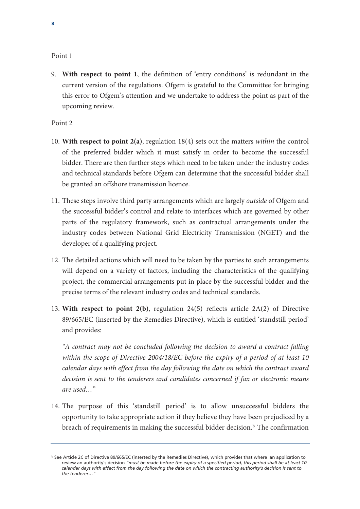#### Point 1

9. **With respect to point 1**, the definition of 'entry conditions' is redundant in the current version of the regulations. Ofgem is grateful to the Committee for bringing this error to Ofgem's attention and we undertake to address the point as part of the upcoming review.

#### Point 2

- 10. **With respect to point 2(a)**, regulation 18(4) sets out the matters *within* the control of the preferred bidder which it must satisfy in order to become the successful bidder. There are then further steps which need to be taken under the industry codes and technical standards before Ofgem can determine that the successful bidder shall be granted an offshore transmission licence.
- 11. These steps involve third party arrangements which are largely *outside* of Ofgem and the successful bidder's control and relate to interfaces which are governed by other parts of the regulatory framework, such as contractual arrangements under the industry codes between National Grid Electricity Transmission (NGET) and the developer of a qualifying project.
- 12. The detailed actions which will need to be taken by the parties to such arrangements will depend on a variety of factors, including the characteristics of the qualifying project, the commercial arrangements put in place by the successful bidder and the precise terms of the relevant industry codes and technical standards.
- 13. **With respect to point 2(b)**, regulation 24(5) reflects article 2A(2) of Directive 89/665/EC (inserted by the Remedies Directive), which is entitled 'standstill period' and provides:

*"A contract may not be concluded following the decision to award a contract falling within the scope of Directive 2004/18/EC before the expiry of a period of at least 10 calendar days with effect from the day following the date on which the contract award decision is sent to the tenderers and candidates concerned if fax or electronic means are used…"* 

14. The purpose of this 'standstill period' is to allow unsuccessful bidders the opportunity to take appropriate action if they believe they have been prejudiced by a [b](#page-9-0)reach of requirements in making the successful bidder decision. $<sup>b</sup>$  The confirmation</sup>

<span id="page-9-0"></span>**b** See Article 2C of Directive 89/665/EC (inserted by the Remedies Directive), which provides that where an application to review an authority's decision *"must be made before the expiry of a specified period, this period shall be at least 10 calendar days with effect from the day following the date on which the contracting authority's decision is sent to the tenderer…"*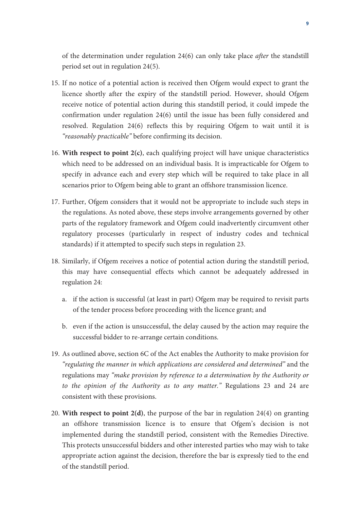of the determination under regulation 24(6) can only take place *after* the standstill period set out in regulation 24(5).

- 15. If no notice of a potential action is received then Ofgem would expect to grant the licence shortly after the expiry of the standstill period. However, should Ofgem receive notice of potential action during this standstill period, it could impede the confirmation under regulation 24(6) until the issue has been fully considered and resolved. Regulation 24(6) reflects this by requiring Ofgem to wait until it is *"reasonably practicable"* before confirming its decision.
- 16. **With respect to point 2(c)**, each qualifying project will have unique characteristics which need to be addressed on an individual basis. It is impracticable for Ofgem to specify in advance each and every step which will be required to take place in all scenarios prior to Ofgem being able to grant an offshore transmission licence.
- 17. Further, Ofgem considers that it would not be appropriate to include such steps in the regulations. As noted above, these steps involve arrangements governed by other parts of the regulatory framework and Ofgem could inadvertently circumvent other regulatory processes (particularly in respect of industry codes and technical standards) if it attempted to specify such steps in regulation 23.
- 18. Similarly, if Ofgem receives a notice of potential action during the standstill period, this may have consequential effects which cannot be adequately addressed in regulation 24:
	- a. if the action is successful (at least in part) Ofgem may be required to revisit parts of the tender process before proceeding with the licence grant; and
	- b. even if the action is unsuccessful, the delay caused by the action may require the successful bidder to re-arrange certain conditions.
- 19. As outlined above, section 6C of the Act enables the Authority to make provision for *"regulating the manner in which applications are considered and determined"* and the regulations may *"make provision by reference to a determination by the Authority or to the opinion of the Authority as to any matter."* Regulations 23 and 24 are consistent with these provisions.
- 20. **With respect to point 2(d)**, the purpose of the bar in regulation 24(4) on granting an offshore transmission licence is to ensure that Ofgem's decision is not implemented during the standstill period, consistent with the Remedies Directive. This protects unsuccessful bidders and other interested parties who may wish to take appropriate action against the decision, therefore the bar is expressly tied to the end of the standstill period.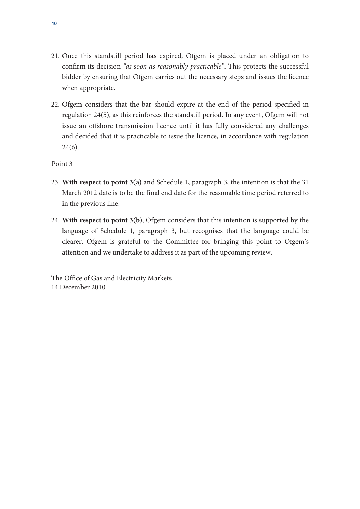- 21. Once this standstill period has expired, Ofgem is placed under an obligation to confirm its decision *"as soon as reasonably practicable"*. This protects the successful bidder by ensuring that Ofgem carries out the necessary steps and issues the licence when appropriate.
- 22. Ofgem considers that the bar should expire at the end of the period specified in regulation 24(5), as this reinforces the standstill period. In any event, Ofgem will not issue an offshore transmission licence until it has fully considered any challenges and decided that it is practicable to issue the licence, in accordance with regulation  $24(6)$ .

### Point 3

- 23. **With respect to point 3(a)** and Schedule 1, paragraph 3, the intention is that the 31 March 2012 date is to be the final end date for the reasonable time period referred to in the previous line.
- 24. **With respect to point 3(b)**, Ofgem considers that this intention is supported by the language of Schedule 1, paragraph 3, but recognises that the language could be clearer. Ofgem is grateful to the Committee for bringing this point to Ofgem's attention and we undertake to address it as part of the upcoming review.

The Office of Gas and Electricity Markets 14 December 2010